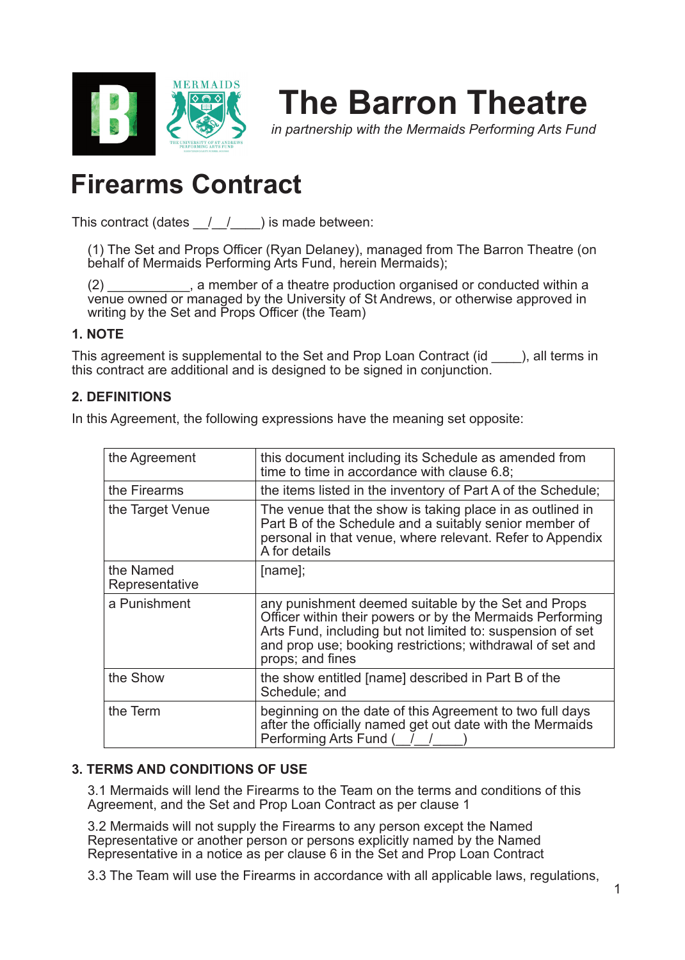

# **The Barron Theatre**

*in partnership with the Mermaids Performing Arts Fund*

## **Firearms Contract**

This contract (dates  $/$  /  $/$  ) is made between:

(1) The Set and Props Officer (Ryan Delaney), managed from The Barron Theatre (on behalf of Mermaids Performing Arts Fund, herein Mermaids);

(2) \_\_\_\_\_\_\_\_\_\_\_, a member of a theatre production organised or conducted within a venue owned or managed by the University of St Andrews, or otherwise approved in writing by the Set and Props Officer (the Team)

## **1. NOTE**

This agreement is supplemental to the Set and Prop Loan Contract (id  $\qquad$  ), all terms in this contract are additional and is designed to be signed in conjunction.

## **2. DEFINITIONS**

In this Agreement, the following expressions have the meaning set opposite:

| the Agreement               | this document including its Schedule as amended from<br>time to time in accordance with clause 6.8;                                                                                                                                                             |
|-----------------------------|-----------------------------------------------------------------------------------------------------------------------------------------------------------------------------------------------------------------------------------------------------------------|
| the Firearms                | the items listed in the inventory of Part A of the Schedule;                                                                                                                                                                                                    |
| the Target Venue            | The venue that the show is taking place in as outlined in<br>Part B of the Schedule and a suitably senior member of<br>personal in that venue, where relevant. Refer to Appendix<br>A for details                                                               |
| the Named<br>Representative | $[name]$ ;                                                                                                                                                                                                                                                      |
| a Punishment                | any punishment deemed suitable by the Set and Props<br>Officer within their powers or by the Mermaids Performing<br>Arts Fund, including but not limited to: suspension of set<br>and prop use; booking restrictions; withdrawal of set and<br>props; and fines |
| the Show                    | the show entitled [name] described in Part B of the<br>Schedule; and                                                                                                                                                                                            |
| the Term                    | beginning on the date of this Agreement to two full days<br>after the officially named get out date with the Mermaids<br>Performing Arts Fund ( /                                                                                                               |

#### **3. TERMS AND CONDITIONS OF USE**

3.1 Mermaids will lend the Firearms to the Team on the terms and conditions of this Agreement, and the Set and Prop Loan Contract as per clause 1

3.2 Mermaids will not supply the Firearms to any person except the Named Representative or another person or persons explicitly named by the Named Representative in a notice as per clause 6 in the Set and Prop Loan Contract

3.3 The Team will use the Firearms in accordance with all applicable laws, regulations,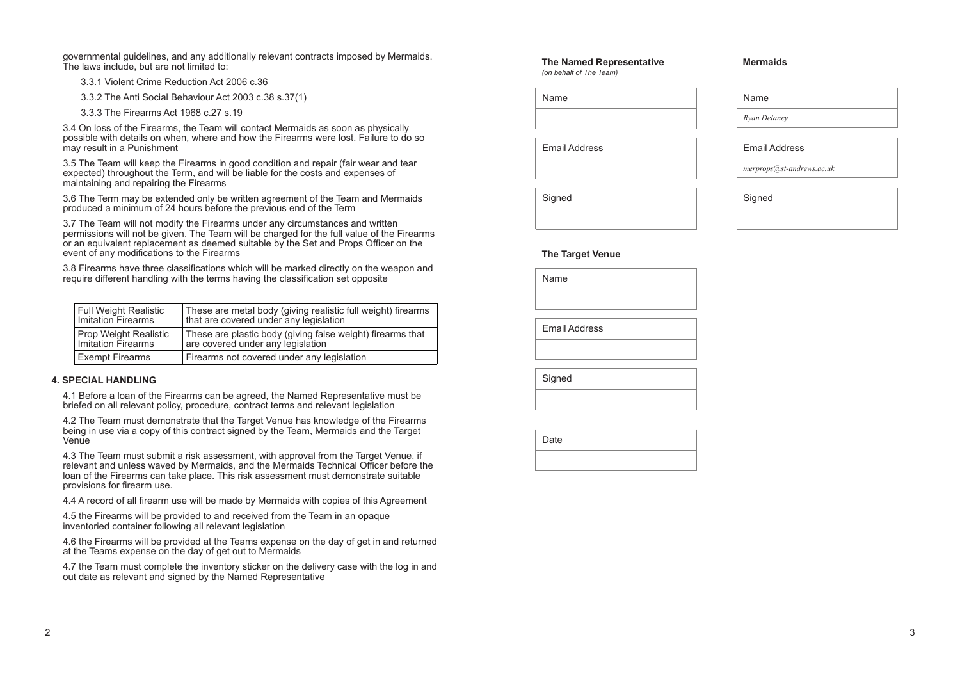governmental guidelines, and any additionally relevant contracts imposed by Mermaids. The laws include, but are not limited to:

- 3.3.1 Violent Crime Reduction Act 2006 c.36
- 3.3.2 The Anti Social Behaviour Act 2003 c.38 s.37(1)
- 3.3.3 The Firearms Act 1968 c.27 s.19

3.4 On loss of the Firearms, the Team will contact Mermaids as soon as physically possible with details on when, where and how the Firearms were lost. Failure to do so may result in a Punishment

3.5 The Team will keep the Firearms in good condition and repair (fair wear and tear expected) throughout the Term, and will be liable for the costs and expenses of maintaining and repairing the Firearms

4.2 The Team must demonstrate that the Target Venue has knowledge of the Firearms being in use via a copy of this contract signed by the Team, Mermaids and the Target **Venue** 

3.6 The Term may be extended only be written agreement of the Team and Mermaids produced a minimum of 24 hours before the previous end of the Term

3.7 The Team will not modify the Firearms under any circumstances and written permissions will not be given. The Team will be charged for the full value of the Firearms or an equivalent replacement as deemed suitable by the Set and Props Officer on the event of any modifications to the Firearms

3.8 Firearms have three classifications which will be marked directly on the weapon and require different handling with the terms having the classification set opposite

#### **4. SPECIAL HANDLING**

4.1 Before a loan of the Firearms can be agreed, the Named Representative must be briefed on all relevant policy, procedure, contract terms and relevant legislation

4.3 The Team must submit a risk assessment, with approval from the Target Venue, if relevant and unless waved by Mermaids, and the Mermaids Technical Officer before the loan of the Firearms can take place. This risk assessment must demonstrate suitable provisions for firearm use.

4.4 A record of all firearm use will be made by Mermaids with copies of this Agreement

4.5 the Firearms will be provided to and received from the Team in an opaque inventoried container following all relevant legislation

4.6 the Firearms will be provided at the Teams expense on the day of get in and returned at the Teams expense on the day of get out to Mermaids

4.7 the Team must complete the inventory sticker on the delivery case with the log in and out date as relevant and signed by the Named Representative

| <b>Full Weight Realistic</b> | These are metal body (giving realistic full weight) firearms |
|------------------------------|--------------------------------------------------------------|
| <b>Imitation Firearms</b>    | that are covered under any legislation                       |
| <b>Prop Weight Realistic</b> | These are plastic body (giving false weight) firearms that   |
| Imitation Firearms           | are covered under any legislation                            |
| <b>Exempt Firearms</b>       | Firearms not covered under any legislation                   |

Name

Email Address

**Signed** 

#### **The Named Representative**

*(on behalf of The Team)*

| Name                 |  |
|----------------------|--|
|                      |  |
| <b>Email Address</b> |  |
|                      |  |

**Signed** 

**Date** 

#### **The Target Venue**

### Name

*Ryan Delaney*

## Email Address

*merprops@st-andrews.ac.uk*

## **Signed**

## **Mermaids**